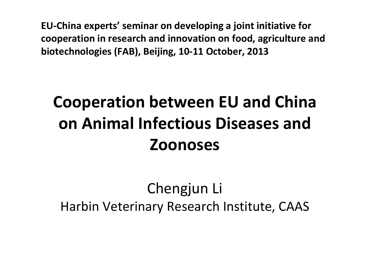**EU-China experts' seminar on developing a joint initiative for cooperation in research and innovation on food, agriculture and biotechnologies (FAB), Beijing, 10-11 October, 2013**

# **Cooperation between EU and China on Animal Infectious Diseases and Zoonoses**

Chengjun Li Harbin Veterinary Research Institute, CAAS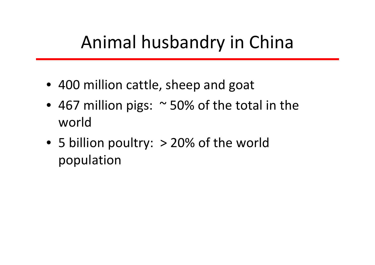### Animal husbandry in China

- 400 million cattle, sheep and goat
- 467 million pigs: ~ 50% of the total in the world
- 5 billion poultry: > 20% of the world population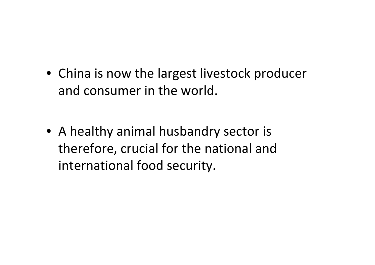- China is now the largest livestock producer and consumer in the world.
- A healthy animal husbandry sector is therefore, crucial for the national and international food security.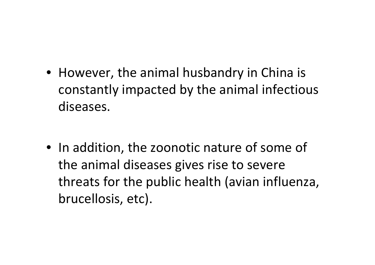- However, the animal husbandry in China is constantly impacted by the animal infectious diseases.
- In addition, the zoonotic nature of some of the animal diseases gives rise to severe threats for the public health (avian influenza, brucellosis, etc).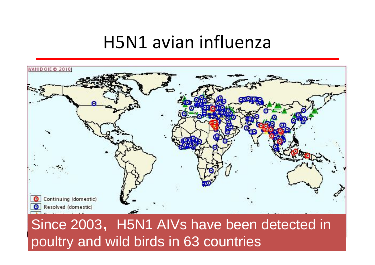#### H5N1 avian influenza



Since 2003, H5N1 AIVs have been detected in poultry and wild birds in 63 countries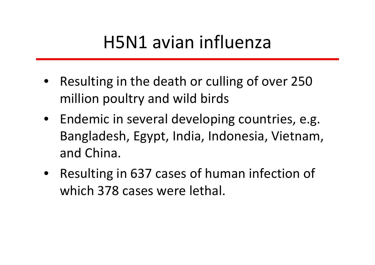### H5N1 avian influenza

- Resulting in the death or culling of over 250 million poultry and wild birds
- Endemic in several developing countries, e.g. Bangladesh, Egypt, India, Indonesia, Vietnam, and China.
- Resulting in 637 cases of human infection of which 378 cases were lethal.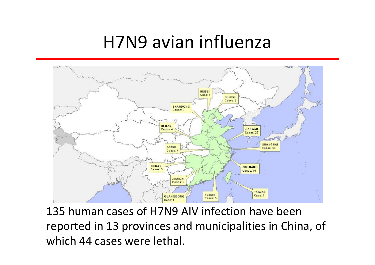### H7N9 avian influenza



135 human cases of H7N9 AIV infection have been reported in 13 provinces and municipalities in China, of which 44 cases were lethal.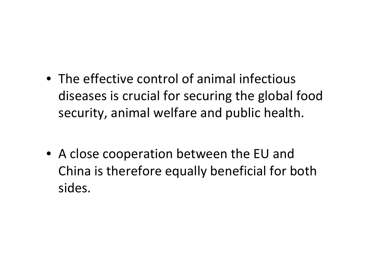- The effective control of animal infectious diseases is crucial for securing the global food security, animal welfare and public health.
- A close cooperation between the EU and China is therefore equally beneficial for both sides.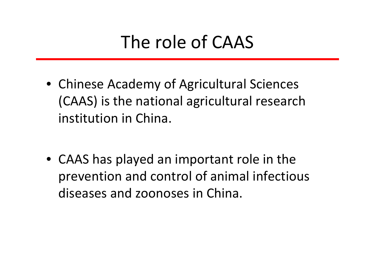### The role of CAAS

- Chinese Academy of Agricultural Sciences (CAAS) is the national agricultural research institution in China.
- CAAS has played an important role in the prevention and control of animal infectious diseases and zoonoses in China.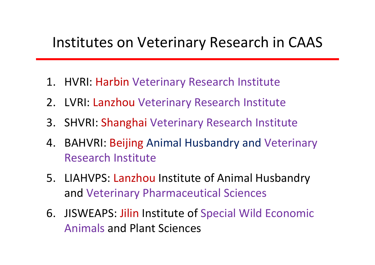#### Institutes on Veterinary Research in CAAS

- 1. HVRI: Harbin Veterinary Research Institute
- 2. LVRI: Lanzhou Veterinary Research Institute
- 3. SHVRI: Shanghai Veterinary Research Institute
- 4. BAHVRI: Beijing Animal Husbandry and Veterinary Research Institute
- 5. LIAHVPS: Lanzhou Institute of Animal Husbandry and Veterinary Pharmaceutical Sciences
- 6. JISWEAPS: Jilin Institute of Special Wild Economic Animals and Plant Sciences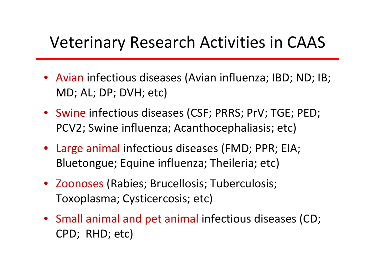#### Veterinary Research Activities in CAAS

- Avian infectious diseases (Avian influenza; IBD; ND; IB; MD; AL; DP; DVH; etc)
- Swine infectious diseases (CSF; PRRS; PrV; TGE; PED; PCV2; Swine influenza; Acanthocephaliasis; etc)
- Large animal infectious diseases (FMD; PPR; EIA; Bluetongue; Equine influenza; Theileria; etc)
- Zoonoses (Rabies; Brucellosis; Tuberculosis; Toxoplasma; Cysticercosis; etc)
- Small animal and pet animal infectious diseases (CD; CPD; RHD; etc)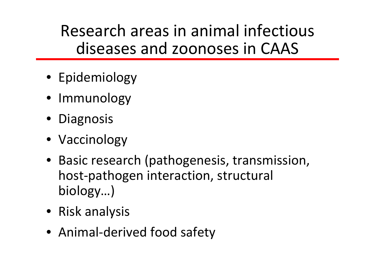Research areas in animal infectious diseases and zoonoses in CAAS

- Epidemiology
- Immunology
- Diagnosis
- Vaccinology
- Basic research (pathogenesis, transmission, host-pathogen interaction, structural biology…)
- Risk analysis
- Animal-derived food safety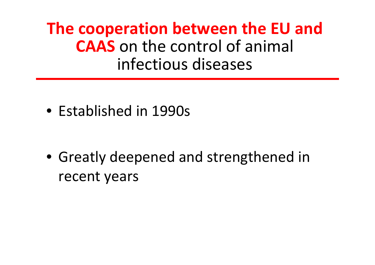**The cooperation between the EU and CAAS** on the control of animal infectious diseases

• Established in 1990s

• Greatly deepened and strengthened in recent years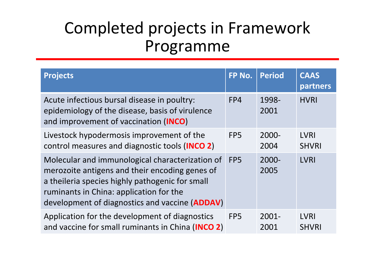#### Completed projects in Framework Programme

| <b>Projects</b>                                                                                                                                                                                                                                   | FP No.          | <b>Period</b>    | <b>CAAS</b><br>partners     |
|---------------------------------------------------------------------------------------------------------------------------------------------------------------------------------------------------------------------------------------------------|-----------------|------------------|-----------------------------|
| Acute infectious bursal disease in poultry:<br>epidemiology of the disease, basis of virulence<br>and improvement of vaccination (INCO)                                                                                                           | FP4             | 1998-<br>2001    | <b>HVRI</b>                 |
| Livestock hypodermosis improvement of the<br>control measures and diagnostic tools (INCO 2)                                                                                                                                                       | FP <sub>5</sub> | 2000-<br>2004    | <b>LVRI</b><br><b>SHVRI</b> |
| Molecular and immunological characterization of<br>merozoite antigens and their encoding genes of<br>a theileria species highly pathogenic for small<br>ruminants in China: application for the<br>development of diagnostics and vaccine (ADDAV) | FP <sub>5</sub> | 2000-<br>2005    | <b>LVRI</b>                 |
| Application for the development of diagnostics<br>and vaccine for small ruminants in China (INCO 2)                                                                                                                                               | FP <sub>5</sub> | $2001 -$<br>2001 | <b>LVRI</b><br><b>SHVRI</b> |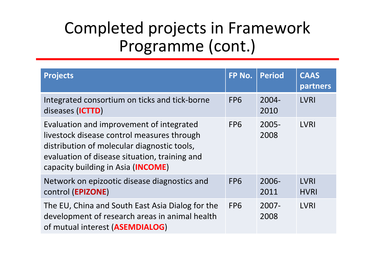### Completed projects in Framework Programme (cont.)

| <b>Projects</b>                                                                                                                                                                                                                       | FP No.          | <b>Period</b>    | <b>CAAS</b><br>partners    |
|---------------------------------------------------------------------------------------------------------------------------------------------------------------------------------------------------------------------------------------|-----------------|------------------|----------------------------|
| Integrated consortium on ticks and tick-borne<br>diseases (ICTTD)                                                                                                                                                                     | FP <sub>6</sub> | $2004 -$<br>2010 | LVRI                       |
| Evaluation and improvement of integrated<br>livestock disease control measures through<br>distribution of molecular diagnostic tools,<br>evaluation of disease situation, training and<br>capacity building in Asia ( <b>INCOME</b> ) | FP <sub>6</sub> | $2005 -$<br>2008 | LVRI                       |
| Network on epizootic disease diagnostics and<br>control (EPIZONE)                                                                                                                                                                     | FP <sub>6</sub> | 2006-<br>2011    | <b>LVRI</b><br><b>HVRI</b> |
| The EU, China and South East Asia Dialog for the<br>development of research areas in animal health<br>of mutual interest (ASEMDIALOG)                                                                                                 | FP <sub>6</sub> | $2007 -$<br>2008 | <b>LVRI</b>                |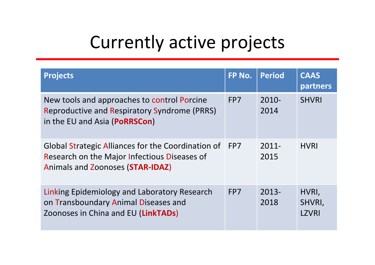### Currently active projects

| <b>Projects</b>                                                                                                                               | FP No. | <b>Period</b>    | <b>CAAS</b><br>partners  |
|-----------------------------------------------------------------------------------------------------------------------------------------------|--------|------------------|--------------------------|
| New tools and approaches to control Porcine<br><b>Reproductive and Respiratory Syndrome (PRRS)</b><br>in the EU and Asia (PoRRSCon)           | FP7    | $2010 -$<br>2014 | <b>SHVRI</b>             |
| Global Strategic Alliances for the Coordination of<br>Research on the Major Infectious Diseases of<br><b>Animals and Zoonoses (STAR-IDAZ)</b> | FP7    | $2011 -$<br>2015 | <b>HVRI</b>              |
| Linking Epidemiology and Laboratory Research<br>on Transboundary Animal Diseases and<br>Zoonoses in China and EU (LinkTADs)                   | FP7    | $2013 -$<br>2018 | HVRI,<br>SHVRI,<br>LZVRI |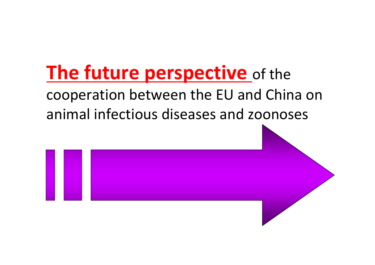# **The future perspective** of the cooperation between the EU and China on animal infectious diseases and zoonoses

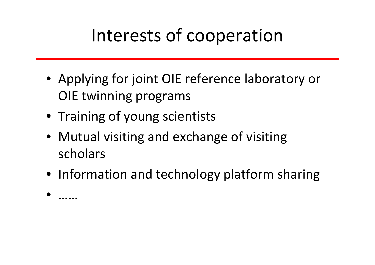# Interests of cooperation

- Applying for joint OIE reference laboratory or OIE twinning programs
- Training of young scientists
- Mutual visiting and exchange of visiting scholars
- Information and technology platform sharing

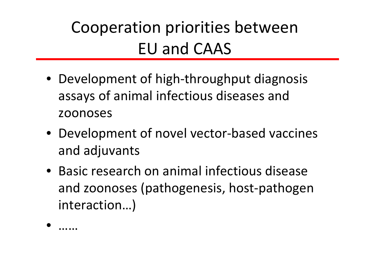# Cooperation priorities between EU and CAAS

- Development of high-throughput diagnosis assays of animal infectious diseases and zoonoses
- Development of novel vector-based vaccines and adjuvants
- Basic research on animal infectious disease and zoonoses (pathogenesis, host-pathogen interaction…)

 $\bullet$ 

……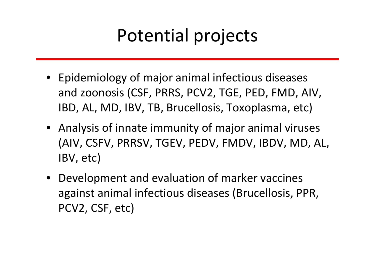# Potential projects

- Epidemiology of major animal infectious diseases and zoonosis (CSF, PRRS, PCV2, TGE, PED, FMD, AIV, IBD, AL, MD, IBV, TB, Brucellosis, Toxoplasma, etc)
- Analysis of innate immunity of major animal viruses (AIV, CSFV, PRRSV, TGEV, PEDV, FMDV, IBDV, MD, AL, IBV, etc)
- Development and evaluation of marker vaccines against animal infectious diseases (Brucellosis, PPR, PCV2, CSF, etc)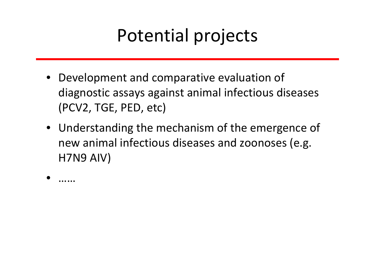# Potential projects

- Development and comparative evaluation of diagnostic assays against animal infectious diseases (PCV2, TGE, PED, etc)
- Understanding the mechanism of the emergence of new animal infectious diseases and zoonoses (e.g. H7N9 AIV)

•……